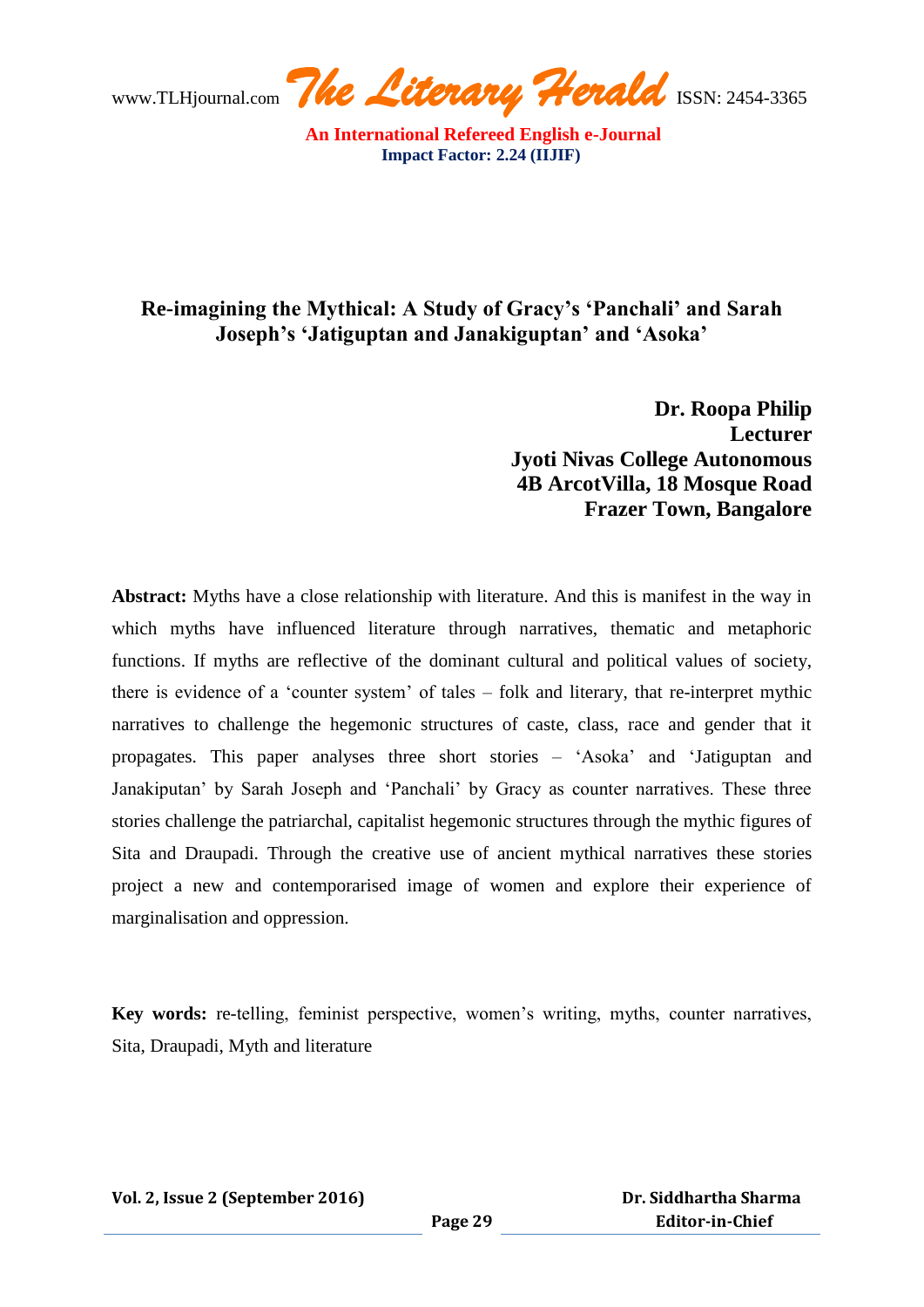

## **Re-imagining the Mythical: A Study of Gracy's 'Panchali' and Sarah Joseph's 'Jatiguptan and Janakiguptan' and 'Asoka'**

**Dr. Roopa Philip Lecturer Jyoti Nivas College Autonomous 4B ArcotVilla, 18 Mosque Road Frazer Town, Bangalore** 

**Abstract:** Myths have a close relationship with literature. And this is manifest in the way in which myths have influenced literature through narratives, thematic and metaphoric functions. If myths are reflective of the dominant cultural and political values of society, there is evidence of a "counter system" of tales – folk and literary, that re-interpret mythic narratives to challenge the hegemonic structures of caste, class, race and gender that it propagates. This paper analyses three short stories – "Asoka" and "Jatiguptan and Janakiputan" by Sarah Joseph and "Panchali" by Gracy as counter narratives. These three stories challenge the patriarchal, capitalist hegemonic structures through the mythic figures of Sita and Draupadi. Through the creative use of ancient mythical narratives these stories project a new and contemporarised image of women and explore their experience of marginalisation and oppression.

**Key words:** re-telling, feminist perspective, women"s writing, myths, counter narratives, Sita, Draupadi, Myth and literature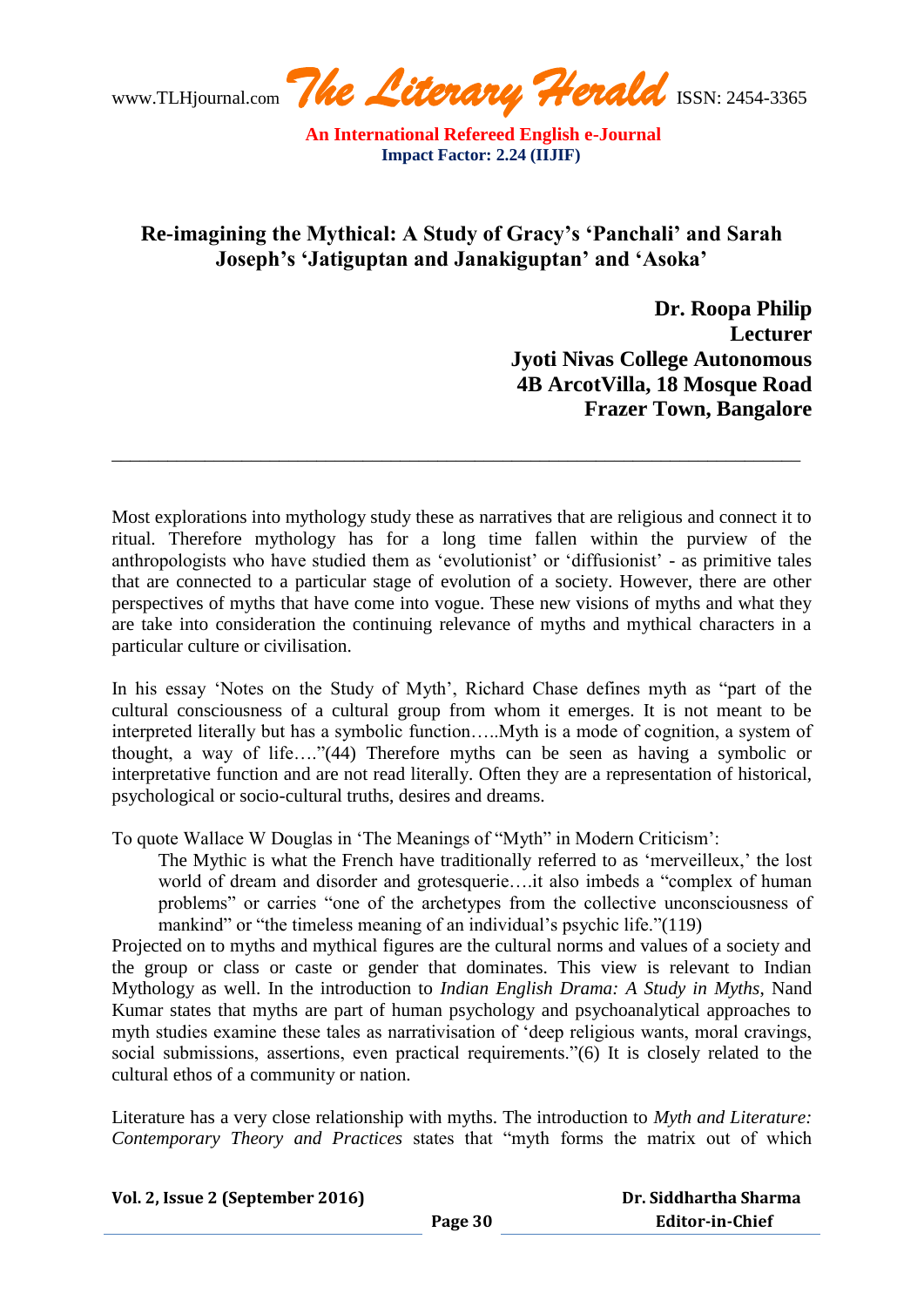www.TLHjournal.com **The Literary Herald** ISSN: 2454-3365

## **Re-imagining the Mythical: A Study of Gracy's 'Panchali' and Sarah Joseph's 'Jatiguptan and Janakiguptan' and 'Asoka'**

 **Dr. Roopa Philip Lecturer Jyoti Nivas College Autonomous 4B ArcotVilla, 18 Mosque Road Frazer Town, Bangalore**

Most explorations into mythology study these as narratives that are religious and connect it to ritual. Therefore mythology has for a long time fallen within the purview of the anthropologists who have studied them as "evolutionist" or "diffusionist" - as primitive tales that are connected to a particular stage of evolution of a society. However, there are other perspectives of myths that have come into vogue. These new visions of myths and what they are take into consideration the continuing relevance of myths and mythical characters in a particular culture or civilisation.

\_\_\_\_\_\_\_\_\_\_\_\_\_\_\_\_\_\_\_\_\_\_\_\_\_\_\_\_\_\_\_\_\_\_\_\_\_\_\_\_\_\_\_\_\_\_\_\_\_\_\_\_\_\_\_\_\_\_\_\_\_\_\_\_\_\_\_\_\_\_\_\_\_\_

In his essay "Notes on the Study of Myth", Richard Chase defines myth as "part of the cultural consciousness of a cultural group from whom it emerges. It is not meant to be interpreted literally but has a symbolic function…..Myth is a mode of cognition, a system of thought, a way of life…."(44) Therefore myths can be seen as having a symbolic or interpretative function and are not read literally. Often they are a representation of historical, psychological or socio-cultural truths, desires and dreams.

To quote Wallace W Douglas in "The Meanings of "Myth" in Modern Criticism":

The Mythic is what the French have traditionally referred to as 'merveilleux,' the lost world of dream and disorder and grotesquerie….it also imbeds a "complex of human problems" or carries "one of the archetypes from the collective unconsciousness of mankind" or "the timeless meaning of an individual's psychic life."(119)

Projected on to myths and mythical figures are the cultural norms and values of a society and the group or class or caste or gender that dominates. This view is relevant to Indian Mythology as well. In the introduction to *Indian English Drama: A Study in Myths*, Nand Kumar states that myths are part of human psychology and psychoanalytical approaches to myth studies examine these tales as narrativisation of "deep religious wants, moral cravings, social submissions, assertions, even practical requirements."(6) It is closely related to the cultural ethos of a community or nation.

Literature has a very close relationship with myths. The introduction to *Myth and Literature: Contemporary Theory and Practices* states that "myth forms the matrix out of which

| Vol. 2, Issue 2 (September 2016) |         | Dr. Siddhartha Sharma  |
|----------------------------------|---------|------------------------|
|                                  | Page 30 | <b>Editor-in-Chief</b> |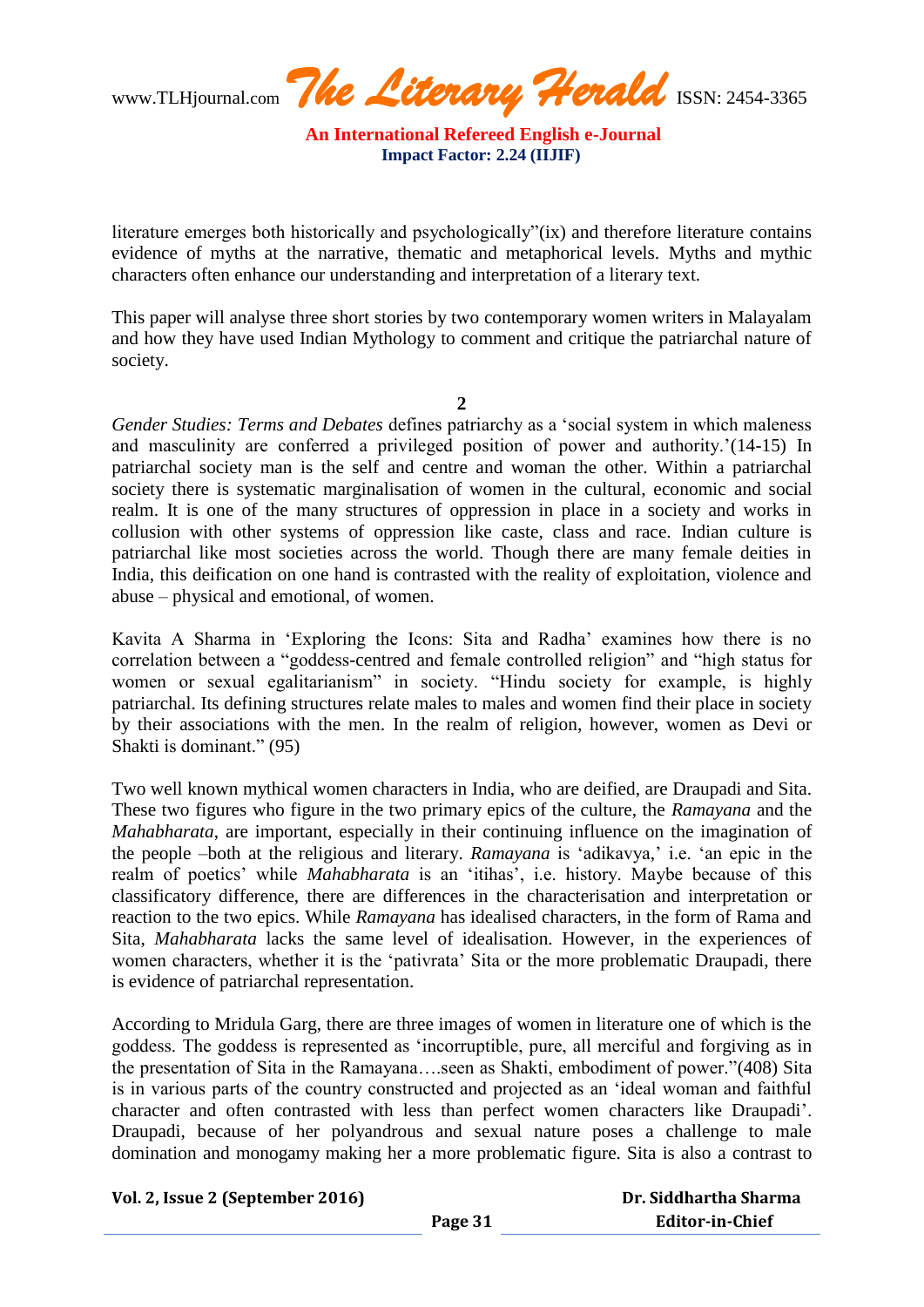www.TLHjournal.com **The Literary Herald** ISSN: 2454-3365

literature emerges both historically and psychologically"(ix) and therefore literature contains evidence of myths at the narrative, thematic and metaphorical levels. Myths and mythic characters often enhance our understanding and interpretation of a literary text.

This paper will analyse three short stories by two contemporary women writers in Malayalam and how they have used Indian Mythology to comment and critique the patriarchal nature of society.

**2**

*Gender Studies: Terms and Debates* defines patriarchy as a "social system in which maleness and masculinity are conferred a privileged position of power and authority.'(14-15) In patriarchal society man is the self and centre and woman the other. Within a patriarchal society there is systematic marginalisation of women in the cultural, economic and social realm. It is one of the many structures of oppression in place in a society and works in collusion with other systems of oppression like caste, class and race. Indian culture is patriarchal like most societies across the world. Though there are many female deities in India, this deification on one hand is contrasted with the reality of exploitation, violence and abuse – physical and emotional, of women.

Kavita A Sharma in "Exploring the Icons: Sita and Radha" examines how there is no correlation between a "goddess-centred and female controlled religion" and "high status for women or sexual egalitarianism" in society. "Hindu society for example, is highly patriarchal. Its defining structures relate males to males and women find their place in society by their associations with the men. In the realm of religion, however, women as Devi or Shakti is dominant." (95)

Two well known mythical women characters in India, who are deified, are Draupadi and Sita. These two figures who figure in the two primary epics of the culture, the *Ramayana* and the *Mahabharata*, are important, especially in their continuing influence on the imagination of the people –both at the religious and literary. *Ramayana* is "adikavya," i.e. "an epic in the realm of poetics" while *Mahabharata* is an "itihas", i.e. history. Maybe because of this classificatory difference, there are differences in the characterisation and interpretation or reaction to the two epics. While *Ramayana* has idealised characters, in the form of Rama and Sita, *Mahabharata* lacks the same level of idealisation. However, in the experiences of women characters, whether it is the "pativrata" Sita or the more problematic Draupadi, there is evidence of patriarchal representation.

According to Mridula Garg, there are three images of women in literature one of which is the goddess. The goddess is represented as "incorruptible, pure, all merciful and forgiving as in the presentation of Sita in the Ramayana….seen as Shakti, embodiment of power."(408) Sita is in various parts of the country constructed and projected as an "ideal woman and faithful character and often contrasted with less than perfect women characters like Draupadi". Draupadi, because of her polyandrous and sexual nature poses a challenge to male domination and monogamy making her a more problematic figure. Sita is also a contrast to

| Vol. 2, Issue 2 (September 2016) |  |
|----------------------------------|--|
|                                  |  |

| Dr. Siddhartha Sharma  |
|------------------------|
| <b>Editor-in-Chief</b> |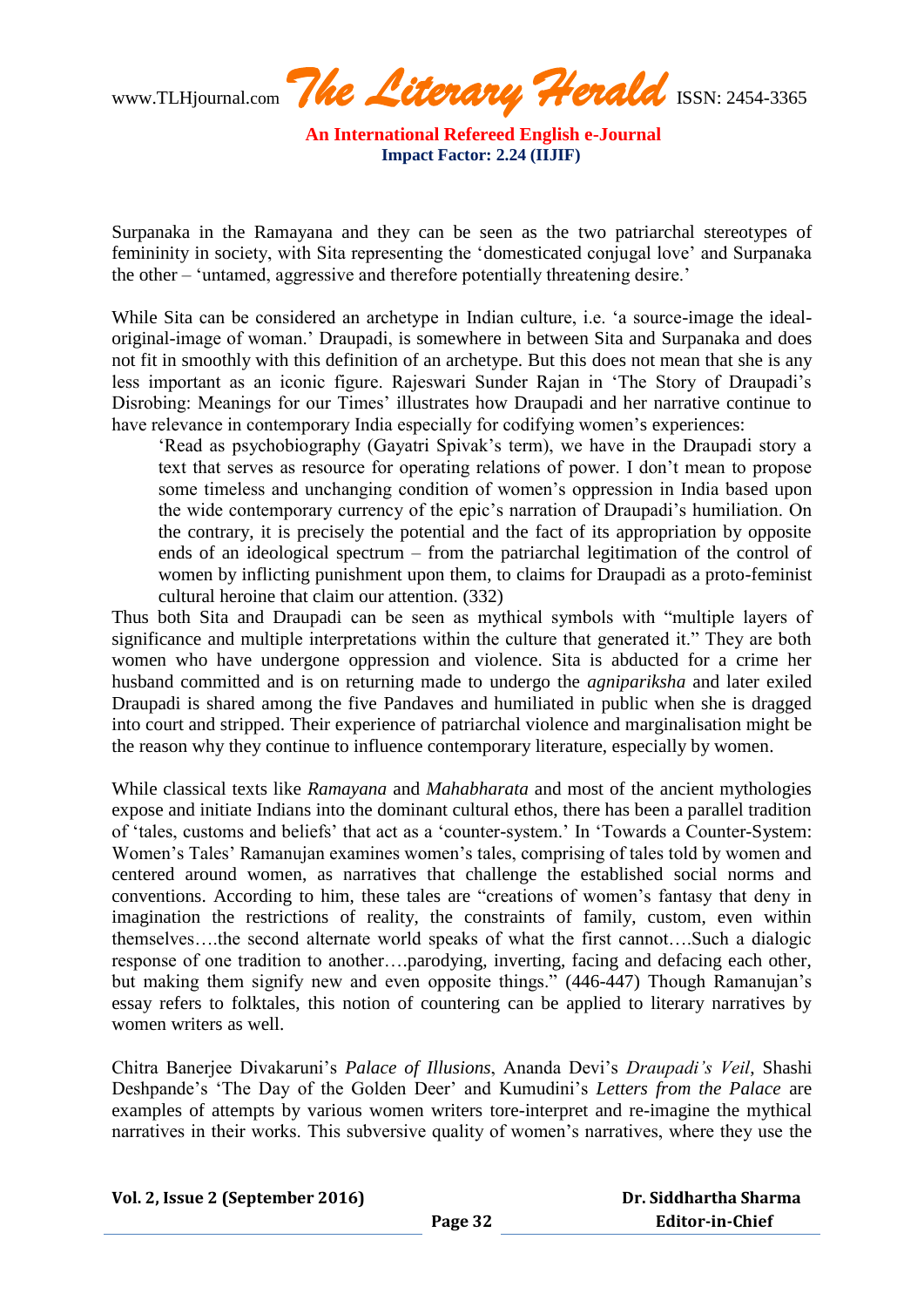www.TLHjournal.com **The Literary Herald** ISSN: 2454-3365

Surpanaka in the Ramayana and they can be seen as the two patriarchal stereotypes of femininity in society, with Sita representing the "domesticated conjugal love" and Surpanaka the other – "untamed, aggressive and therefore potentially threatening desire."

While Sita can be considered an archetype in Indian culture, i.e. 'a source-image the idealoriginal-image of woman." Draupadi, is somewhere in between Sita and Surpanaka and does not fit in smoothly with this definition of an archetype. But this does not mean that she is any less important as an iconic figure. Rajeswari Sunder Rajan in "The Story of Draupadi"s Disrobing: Meanings for our Times' illustrates how Draupadi and her narrative continue to have relevance in contemporary India especially for codifying women's experiences:

'Read as psychobiography (Gayatri Spivak's term), we have in the Draupadi story a text that serves as resource for operating relations of power. I don"t mean to propose some timeless and unchanging condition of women"s oppression in India based upon the wide contemporary currency of the epic"s narration of Draupadi"s humiliation. On the contrary, it is precisely the potential and the fact of its appropriation by opposite ends of an ideological spectrum – from the patriarchal legitimation of the control of women by inflicting punishment upon them, to claims for Draupadi as a proto-feminist cultural heroine that claim our attention. (332)

Thus both Sita and Draupadi can be seen as mythical symbols with "multiple layers of significance and multiple interpretations within the culture that generated it." They are both women who have undergone oppression and violence. Sita is abducted for a crime her husband committed and is on returning made to undergo the *agnipariksha* and later exiled Draupadi is shared among the five Pandaves and humiliated in public when she is dragged into court and stripped. Their experience of patriarchal violence and marginalisation might be the reason why they continue to influence contemporary literature, especially by women.

While classical texts like *Ramayana* and *Mahabharata* and most of the ancient mythologies expose and initiate Indians into the dominant cultural ethos, there has been a parallel tradition of "tales, customs and beliefs" that act as a "counter-system." In "Towards a Counter-System: Women's Tales' Ramanujan examines women's tales, comprising of tales told by women and centered around women, as narratives that challenge the established social norms and conventions. According to him, these tales are "creations of women"s fantasy that deny in imagination the restrictions of reality, the constraints of family, custom, even within themselves….the second alternate world speaks of what the first cannot….Such a dialogic response of one tradition to another….parodying, inverting, facing and defacing each other, but making them signify new and even opposite things." (446-447) Though Ramanujan"s essay refers to folktales, this notion of countering can be applied to literary narratives by women writers as well.

Chitra Banerjee Divakaruni"s *Palace of Illusions*, Ananda Devi"s *Draupadi's Veil*, Shashi Deshpande"s "The Day of the Golden Deer" and Kumudini"s *Letters from the Palace* are examples of attempts by various women writers tore-interpret and re-imagine the mythical narratives in their works. This subversive quality of women"s narratives, where they use the

| Dr. Siddhartha Sharma |  |
|-----------------------|--|
| Editor-in-Chief       |  |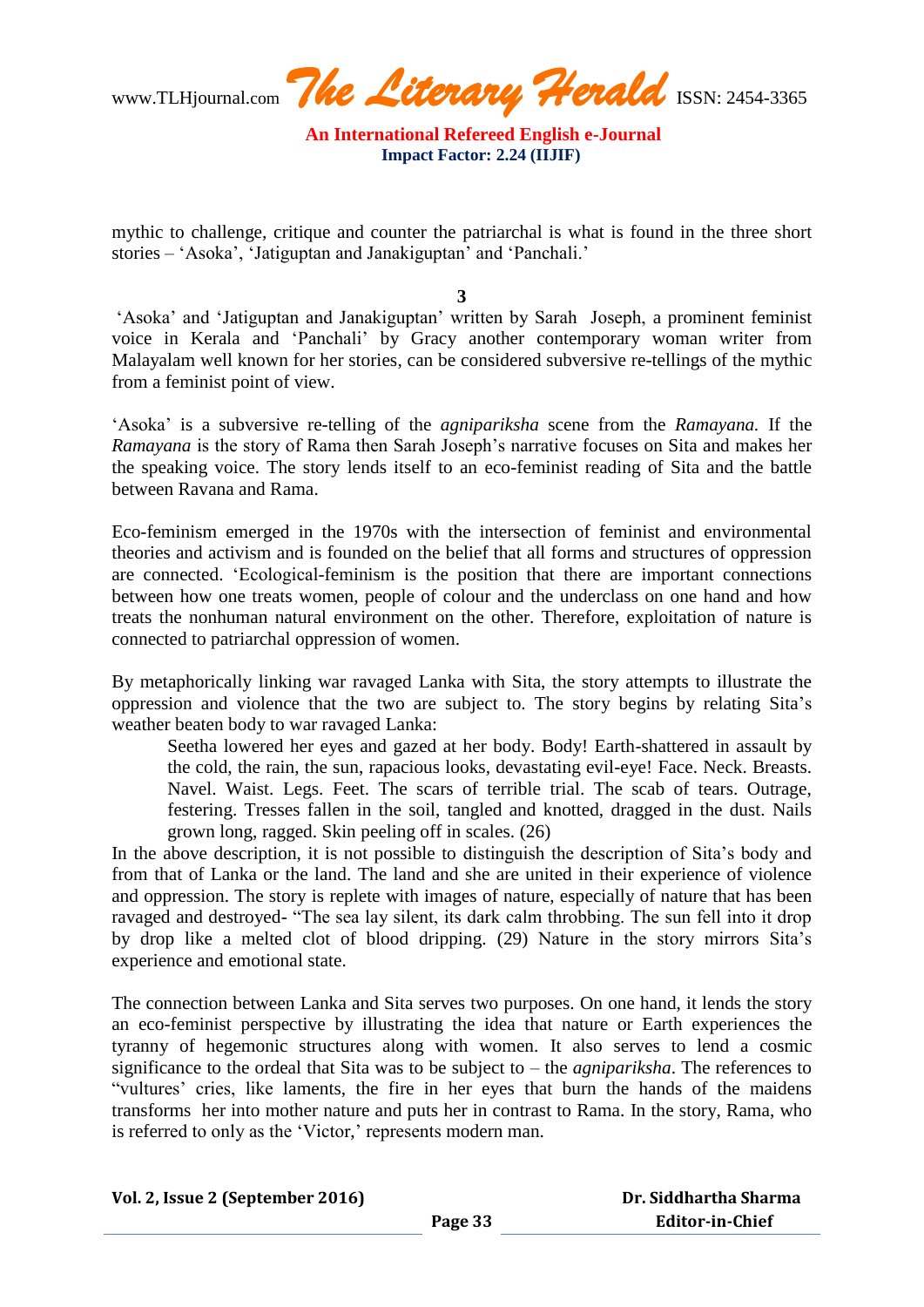www.TLHjournal.com **The Literary Herald** ISSN: 2454-3365

mythic to challenge, critique and counter the patriarchal is what is found in the three short stories – "Asoka", "Jatiguptan and Janakiguptan" and "Panchali."

**3**

"Asoka" and "Jatiguptan and Janakiguptan" written by Sarah Joseph, a prominent feminist voice in Kerala and "Panchali" by Gracy another contemporary woman writer from Malayalam well known for her stories, can be considered subversive re-tellings of the mythic from a feminist point of view.

"Asoka" is a subversive re-telling of the *agnipariksha* scene from the *Ramayana.* If the *Ramayana* is the story of Rama then Sarah Joseph"s narrative focuses on Sita and makes her the speaking voice. The story lends itself to an eco-feminist reading of Sita and the battle between Ravana and Rama.

Eco-feminism emerged in the 1970s with the intersection of feminist and environmental theories and activism and is founded on the belief that all forms and structures of oppression are connected. "Ecological-feminism is the position that there are important connections between how one treats women, people of colour and the underclass on one hand and how treats the nonhuman natural environment on the other. Therefore, exploitation of nature is connected to patriarchal oppression of women.

By metaphorically linking war ravaged Lanka with Sita, the story attempts to illustrate the oppression and violence that the two are subject to. The story begins by relating Sita"s weather beaten body to war ravaged Lanka:

Seetha lowered her eyes and gazed at her body. Body! Earth-shattered in assault by the cold, the rain, the sun, rapacious looks, devastating evil-eye! Face. Neck. Breasts. Navel. Waist. Legs. Feet. The scars of terrible trial. The scab of tears. Outrage, festering. Tresses fallen in the soil, tangled and knotted, dragged in the dust. Nails grown long, ragged. Skin peeling off in scales. (26)

In the above description, it is not possible to distinguish the description of Sita"s body and from that of Lanka or the land. The land and she are united in their experience of violence and oppression. The story is replete with images of nature, especially of nature that has been ravaged and destroyed- "The sea lay silent, its dark calm throbbing. The sun fell into it drop by drop like a melted clot of blood dripping. (29) Nature in the story mirrors Sita"s experience and emotional state.

The connection between Lanka and Sita serves two purposes. On one hand, it lends the story an eco-feminist perspective by illustrating the idea that nature or Earth experiences the tyranny of hegemonic structures along with women. It also serves to lend a cosmic significance to the ordeal that Sita was to be subject to – the *agnipariksha*. The references to "vultures" cries, like laments, the fire in her eyes that burn the hands of the maidens transforms her into mother nature and puts her in contrast to Rama. In the story, Rama, who is referred to only as the 'Victor,' represents modern man.

| Vol. 2, Issue 2 (September 2016) |  |
|----------------------------------|--|
|----------------------------------|--|

 **Dr. Siddhartha Sharma Editor-in-Chief**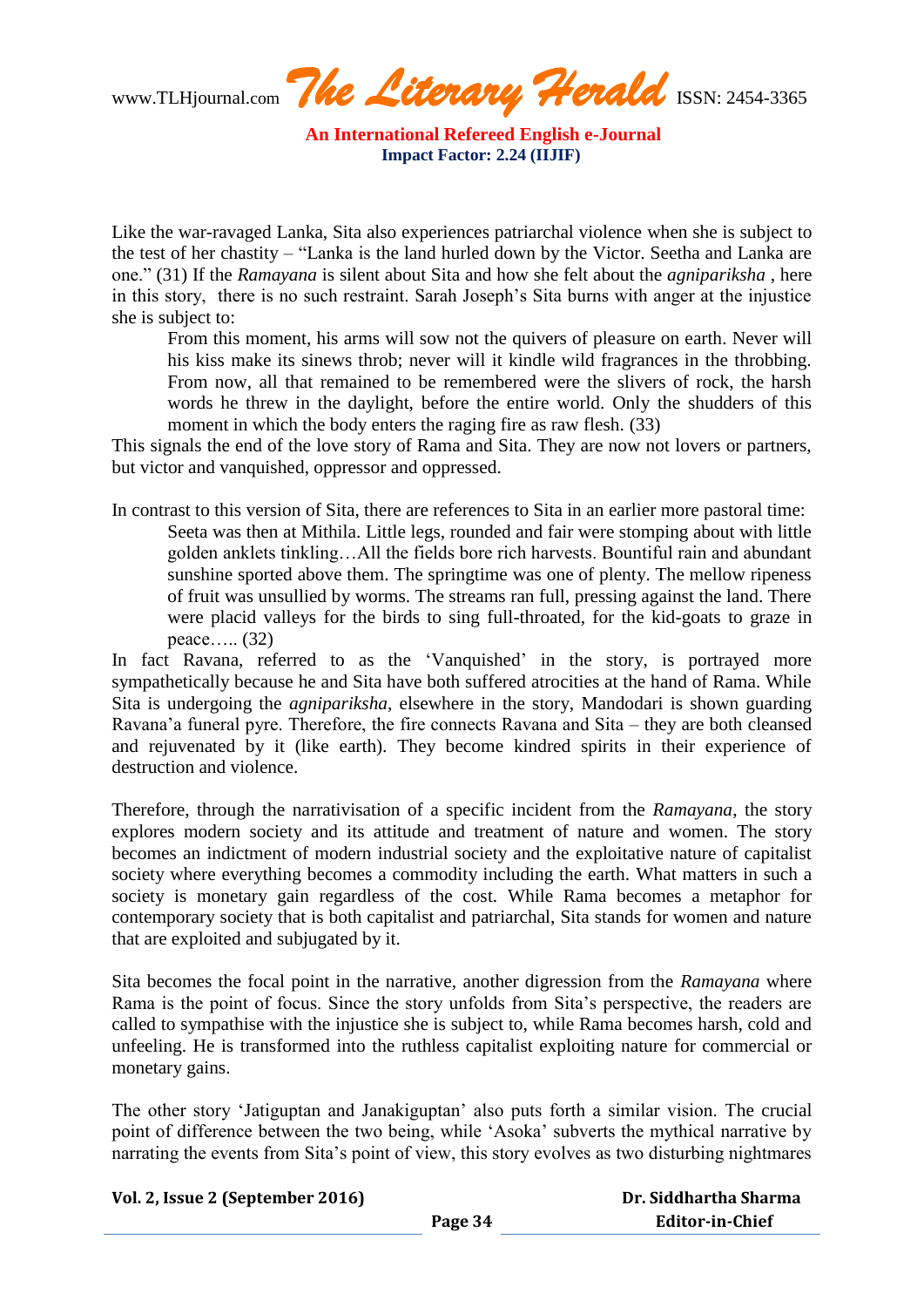www.TLHjournal.com **The Literary Herald** ISSN: 2454-3365

Like the war-ravaged Lanka, Sita also experiences patriarchal violence when she is subject to the test of her chastity – "Lanka is the land hurled down by the Victor. Seetha and Lanka are one." (31) If the *Ramayana* is silent about Sita and how she felt about the *agnipariksha* , here in this story, there is no such restraint. Sarah Joseph"s Sita burns with anger at the injustice she is subject to:

From this moment, his arms will sow not the quivers of pleasure on earth. Never will his kiss make its sinews throb; never will it kindle wild fragrances in the throbbing. From now, all that remained to be remembered were the slivers of rock, the harsh words he threw in the daylight, before the entire world. Only the shudders of this moment in which the body enters the raging fire as raw flesh. (33)

This signals the end of the love story of Rama and Sita. They are now not lovers or partners, but victor and vanquished, oppressor and oppressed.

In contrast to this version of Sita, there are references to Sita in an earlier more pastoral time: Seeta was then at Mithila. Little legs, rounded and fair were stomping about with little golden anklets tinkling…All the fields bore rich harvests. Bountiful rain and abundant sunshine sported above them. The springtime was one of plenty. The mellow ripeness of fruit was unsullied by worms. The streams ran full, pressing against the land. There were placid valleys for the birds to sing full-throated, for the kid-goats to graze in peace….. (32)

In fact Ravana, referred to as the 'Vanquished' in the story, is portrayed more sympathetically because he and Sita have both suffered atrocities at the hand of Rama. While Sita is undergoing the *agnipariksha,* elsewhere in the story, Mandodari is shown guarding Ravana"a funeral pyre. Therefore, the fire connects Ravana and Sita – they are both cleansed and rejuvenated by it (like earth). They become kindred spirits in their experience of destruction and violence.

Therefore, through the narrativisation of a specific incident from the *Ramayana*, the story explores modern society and its attitude and treatment of nature and women. The story becomes an indictment of modern industrial society and the exploitative nature of capitalist society where everything becomes a commodity including the earth. What matters in such a society is monetary gain regardless of the cost. While Rama becomes a metaphor for contemporary society that is both capitalist and patriarchal, Sita stands for women and nature that are exploited and subjugated by it.

Sita becomes the focal point in the narrative, another digression from the *Ramayana* where Rama is the point of focus. Since the story unfolds from Sita"s perspective, the readers are called to sympathise with the injustice she is subject to, while Rama becomes harsh, cold and unfeeling. He is transformed into the ruthless capitalist exploiting nature for commercial or monetary gains.

The other story "Jatiguptan and Janakiguptan" also puts forth a similar vision. The crucial point of difference between the two being, while "Asoka" subverts the mythical narrative by narrating the events from Sita's point of view, this story evolves as two disturbing nightmares

| Vol. 2, Issue 2 (September 2016) |
|----------------------------------|
|----------------------------------|

| Dr. Siddhartha Sharma  |
|------------------------|
| <b>Editor-in-Chief</b> |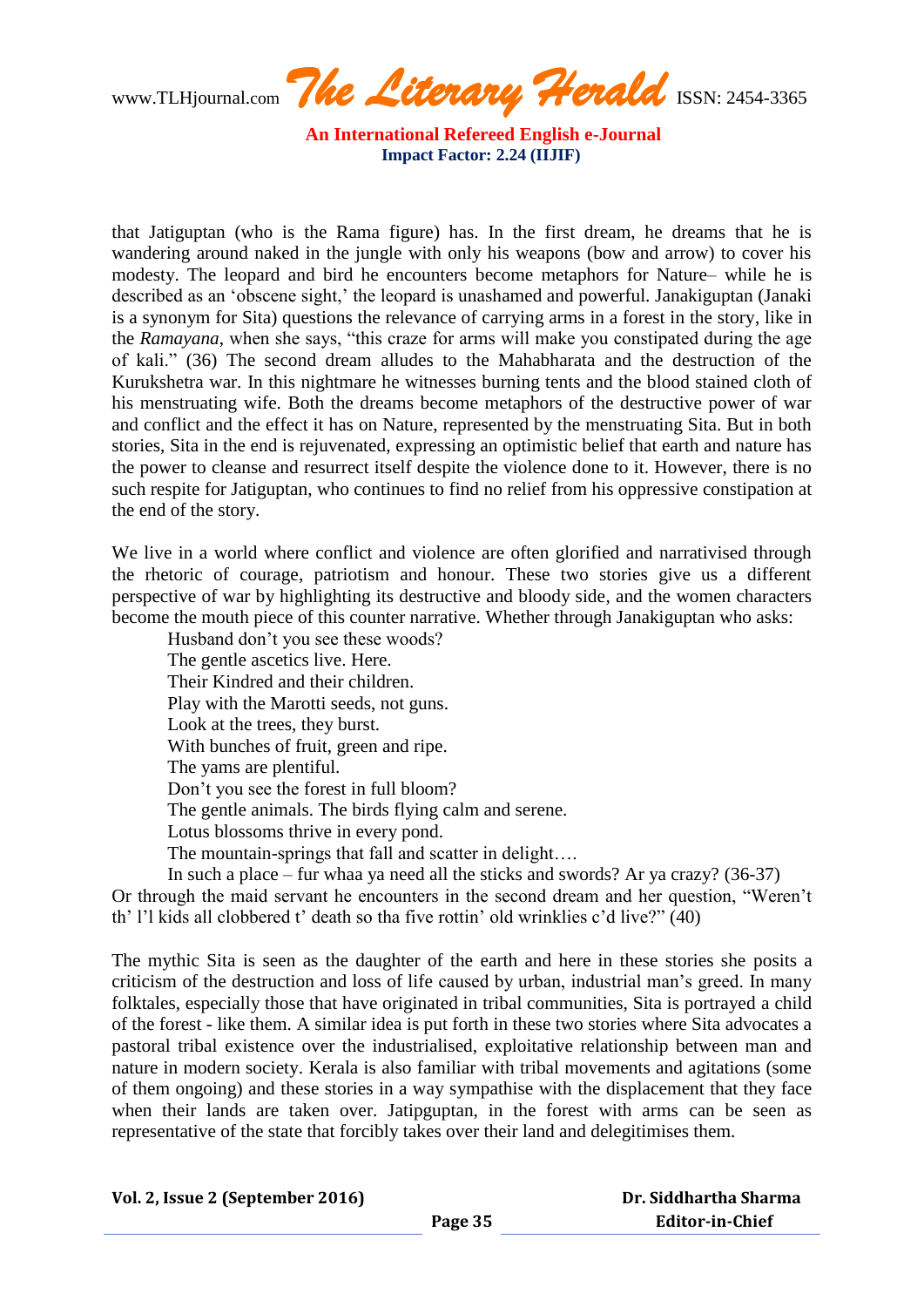www.TLHjournal.com **The Literary Herald** ISSN: 2454-3365

that Jatiguptan (who is the Rama figure) has. In the first dream, he dreams that he is wandering around naked in the jungle with only his weapons (bow and arrow) to cover his modesty. The leopard and bird he encounters become metaphors for Nature– while he is described as an 'obscene sight,' the leopard is unashamed and powerful. Janakiguptan (Janaki is a synonym for Sita) questions the relevance of carrying arms in a forest in the story, like in the *Ramayana*, when she says, "this craze for arms will make you constipated during the age of kali." (36) The second dream alludes to the Mahabharata and the destruction of the Kurukshetra war. In this nightmare he witnesses burning tents and the blood stained cloth of his menstruating wife. Both the dreams become metaphors of the destructive power of war and conflict and the effect it has on Nature, represented by the menstruating Sita. But in both stories, Sita in the end is rejuvenated, expressing an optimistic belief that earth and nature has the power to cleanse and resurrect itself despite the violence done to it. However, there is no such respite for Jatiguptan, who continues to find no relief from his oppressive constipation at the end of the story.

We live in a world where conflict and violence are often glorified and narrativised through the rhetoric of courage, patriotism and honour. These two stories give us a different perspective of war by highlighting its destructive and bloody side, and the women characters become the mouth piece of this counter narrative. Whether through Janakiguptan who asks:

Husband don"t you see these woods? The gentle ascetics live. Here. Their Kindred and their children. Play with the Marotti seeds, not guns. Look at the trees, they burst. With bunches of fruit, green and ripe. The yams are plentiful. Don"t you see the forest in full bloom? The gentle animals. The birds flying calm and serene. Lotus blossoms thrive in every pond. The mountain-springs that fall and scatter in delight….

In such a place – fur whaa ya need all the sticks and swords? Ar ya crazy? (36-37) Or through the maid servant he encounters in the second dream and her question, "Weren"t th" l"l kids all clobbered t" death so tha five rottin" old wrinklies c"d live?" (40)

The mythic Sita is seen as the daughter of the earth and here in these stories she posits a criticism of the destruction and loss of life caused by urban, industrial man"s greed. In many folktales, especially those that have originated in tribal communities, Sita is portrayed a child of the forest - like them. A similar idea is put forth in these two stories where Sita advocates a pastoral tribal existence over the industrialised, exploitative relationship between man and nature in modern society. Kerala is also familiar with tribal movements and agitations (some of them ongoing) and these stories in a way sympathise with the displacement that they face when their lands are taken over. Jatipguptan, in the forest with arms can be seen as representative of the state that forcibly takes over their land and delegitimises them.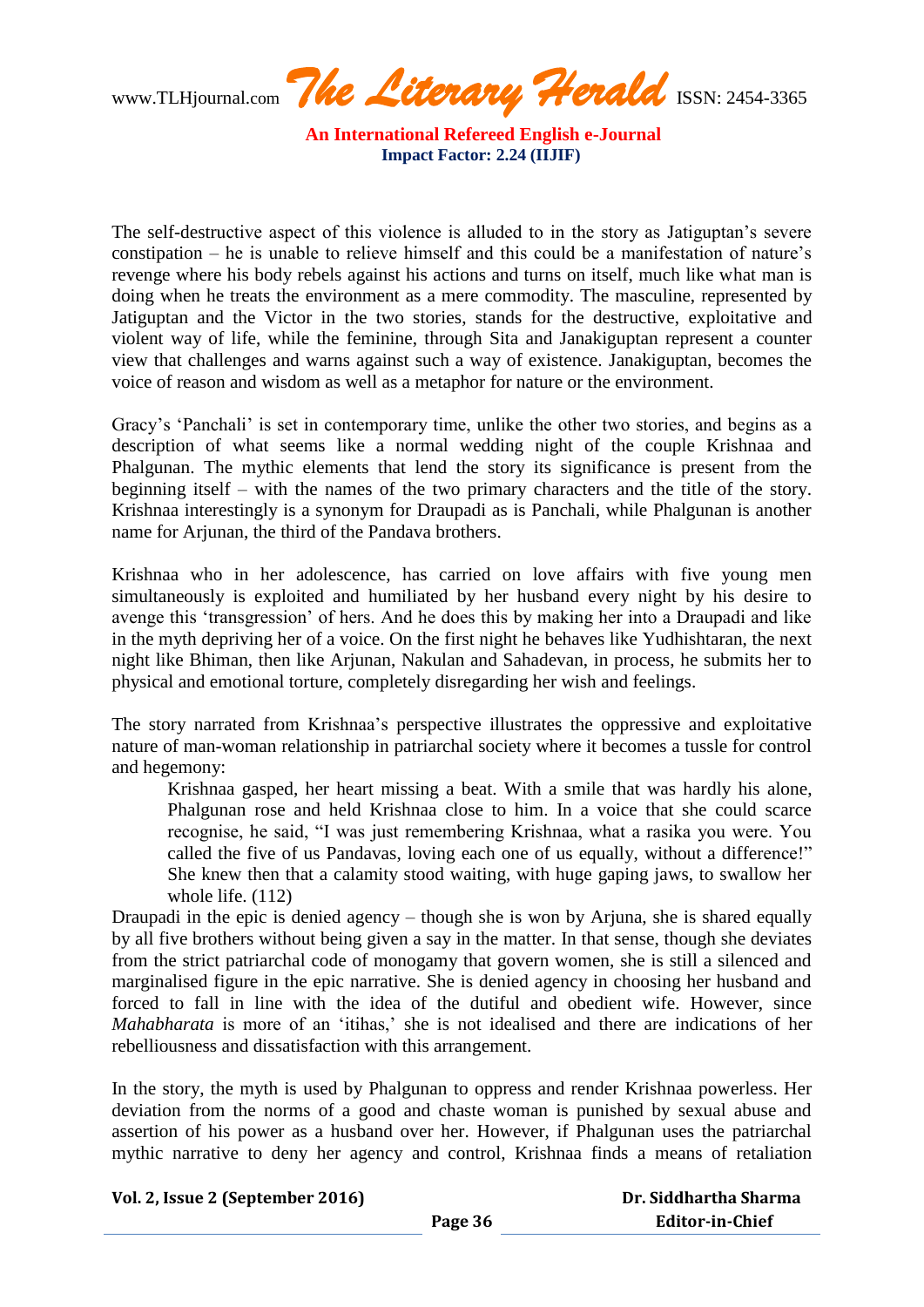www.TLHjournal.com **The Literary Herald** ISSN: 2454-3365

The self-destructive aspect of this violence is alluded to in the story as Jatiguptan"s severe constipation – he is unable to relieve himself and this could be a manifestation of nature"s revenge where his body rebels against his actions and turns on itself, much like what man is doing when he treats the environment as a mere commodity. The masculine, represented by Jatiguptan and the Victor in the two stories, stands for the destructive, exploitative and violent way of life, while the feminine, through Sita and Janakiguptan represent a counter view that challenges and warns against such a way of existence. Janakiguptan, becomes the voice of reason and wisdom as well as a metaphor for nature or the environment.

Gracy's 'Panchali' is set in contemporary time, unlike the other two stories, and begins as a description of what seems like a normal wedding night of the couple Krishnaa and Phalgunan. The mythic elements that lend the story its significance is present from the beginning itself – with the names of the two primary characters and the title of the story. Krishnaa interestingly is a synonym for Draupadi as is Panchali, while Phalgunan is another name for Arjunan, the third of the Pandava brothers.

Krishnaa who in her adolescence, has carried on love affairs with five young men simultaneously is exploited and humiliated by her husband every night by his desire to avenge this "transgression" of hers. And he does this by making her into a Draupadi and like in the myth depriving her of a voice. On the first night he behaves like Yudhishtaran, the next night like Bhiman, then like Arjunan, Nakulan and Sahadevan, in process, he submits her to physical and emotional torture, completely disregarding her wish and feelings.

The story narrated from Krishnaa"s perspective illustrates the oppressive and exploitative nature of man-woman relationship in patriarchal society where it becomes a tussle for control and hegemony:

Krishnaa gasped, her heart missing a beat. With a smile that was hardly his alone, Phalgunan rose and held Krishnaa close to him. In a voice that she could scarce recognise, he said, "I was just remembering Krishnaa, what a rasika you were. You called the five of us Pandavas, loving each one of us equally, without a difference!" She knew then that a calamity stood waiting, with huge gaping jaws, to swallow her whole life. (112)

Draupadi in the epic is denied agency – though she is won by Arjuna, she is shared equally by all five brothers without being given a say in the matter. In that sense, though she deviates from the strict patriarchal code of monogamy that govern women, she is still a silenced and marginalised figure in the epic narrative. She is denied agency in choosing her husband and forced to fall in line with the idea of the dutiful and obedient wife. However, since *Mahabharata* is more of an 'itihas,' she is not idealised and there are indications of her rebelliousness and dissatisfaction with this arrangement.

In the story, the myth is used by Phalgunan to oppress and render Krishnaa powerless. Her deviation from the norms of a good and chaste woman is punished by sexual abuse and assertion of his power as a husband over her. However, if Phalgunan uses the patriarchal mythic narrative to deny her agency and control, Krishnaa finds a means of retaliation

| Dr. Siddhartha Sharma  |  |
|------------------------|--|
| <b>Editor-in-Chief</b> |  |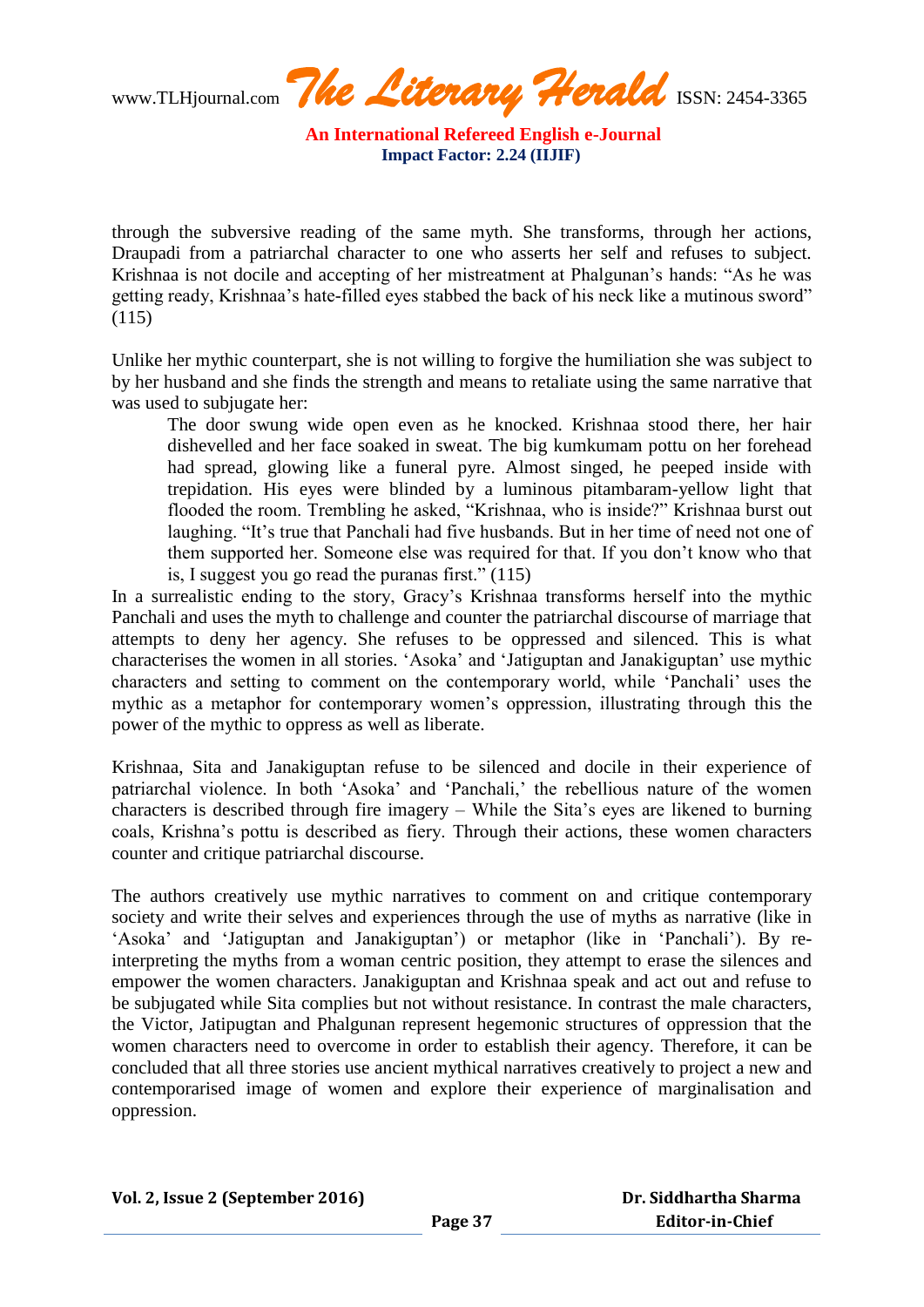www.TLHjournal.com **The Literary Herald** ISSN: 2454-3365

through the subversive reading of the same myth. She transforms, through her actions, Draupadi from a patriarchal character to one who asserts her self and refuses to subject. Krishnaa is not docile and accepting of her mistreatment at Phalgunan"s hands: "As he was getting ready, Krishnaa"s hate-filled eyes stabbed the back of his neck like a mutinous sword" (115)

Unlike her mythic counterpart, she is not willing to forgive the humiliation she was subject to by her husband and she finds the strength and means to retaliate using the same narrative that was used to subjugate her:

The door swung wide open even as he knocked. Krishnaa stood there, her hair dishevelled and her face soaked in sweat. The big kumkumam pottu on her forehead had spread, glowing like a funeral pyre. Almost singed, he peeped inside with trepidation. His eyes were blinded by a luminous pitambaram-yellow light that flooded the room. Trembling he asked, "Krishnaa, who is inside?" Krishnaa burst out laughing. "It's true that Panchali had five husbands. But in her time of need not one of them supported her. Someone else was required for that. If you don"t know who that is, I suggest you go read the puranas first." (115)

In a surrealistic ending to the story, Gracy"s Krishnaa transforms herself into the mythic Panchali and uses the myth to challenge and counter the patriarchal discourse of marriage that attempts to deny her agency. She refuses to be oppressed and silenced. This is what characterises the women in all stories. "Asoka" and "Jatiguptan and Janakiguptan" use mythic characters and setting to comment on the contemporary world, while "Panchali" uses the mythic as a metaphor for contemporary women's oppression, illustrating through this the power of the mythic to oppress as well as liberate.

Krishnaa, Sita and Janakiguptan refuse to be silenced and docile in their experience of patriarchal violence. In both 'Asoka' and 'Panchali,' the rebellious nature of the women characters is described through fire imagery – While the Sita"s eyes are likened to burning coals, Krishna"s pottu is described as fiery. Through their actions, these women characters counter and critique patriarchal discourse.

The authors creatively use mythic narratives to comment on and critique contemporary society and write their selves and experiences through the use of myths as narrative (like in "Asoka" and "Jatiguptan and Janakiguptan") or metaphor (like in "Panchali"). By reinterpreting the myths from a woman centric position, they attempt to erase the silences and empower the women characters. Janakiguptan and Krishnaa speak and act out and refuse to be subjugated while Sita complies but not without resistance. In contrast the male characters, the Victor, Jatipugtan and Phalgunan represent hegemonic structures of oppression that the women characters need to overcome in order to establish their agency. Therefore, it can be concluded that all three stories use ancient mythical narratives creatively to project a new and contemporarised image of women and explore their experience of marginalisation and oppression.